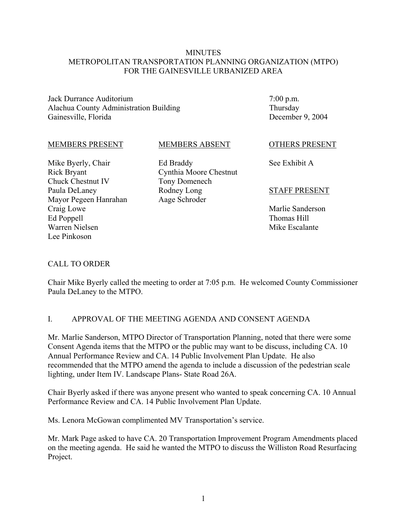#### **MINUTES** METROPOLITAN TRANSPORTATION PLANNING ORGANIZATION (MTPO) FOR THE GAINESVILLE URBANIZED AREA

Jack Durrance Auditorium Alachua County Administration Building Gainesville, Florida

7:00 p.m. Thursday December 9, 2004

#### MEMBERS PRESENT

MEMBERS ABSENT

Mike Byerly, Chair Rick Bryant Chuck Chestnut IV Paula DeLaney Mayor Pegeen Hanrahan Craig Lowe Ed Poppell Warren Nielsen Lee Pinkoson

Ed Braddy Cynthia Moore Chestnut Tony Domenech Rodney Long Aage Schroder

OTHERS PRESENT

See Exhibit A

#### STAFF PRESENT

Marlie Sanderson Thomas Hill Mike Escalante

#### CALL TO ORDER

Chair Mike Byerly called the meeting to order at 7:05 p.m. He welcomed County Commissioner Paula DeLaney to the MTPO.

#### I. APPROVAL OF THE MEETING AGENDA AND CONSENT AGENDA

Mr. Marlie Sanderson, MTPO Director of Transportation Planning, noted that there were some Consent Agenda items that the MTPO or the public may want to be discuss, including CA. 10 Annual Performance Review and CA. 14 Public Involvement Plan Update. He also recommended that the MTPO amend the agenda to include a discussion of the pedestrian scale lighting, under Item IV. Landscape Plans- State Road 26A.

Chair Byerly asked if there was anyone present who wanted to speak concerning CA. 10 Annual Performance Review and CA. 14 Public Involvement Plan Update.

Ms. Lenora McGowan complimented MV Transportation's service.

Mr. Mark Page asked to have CA. 20 Transportation Improvement Program Amendments placed on the meeting agenda. He said he wanted the MTPO to discuss the Williston Road Resurfacing Project.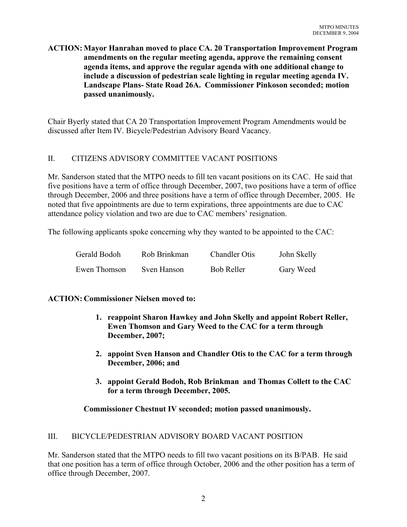### **ACTION: Mayor Hanrahan moved to place CA. 20 Transportation Improvement Program amendments on the regular meeting agenda, approve the remaining consent agenda items, and approve the regular agenda with one additional change to include a discussion of pedestrian scale lighting in regular meeting agenda IV. Landscape Plans- State Road 26A. Commissioner Pinkoson seconded; motion passed unanimously.**

Chair Byerly stated that CA 20 Transportation Improvement Program Amendments would be discussed after Item IV. Bicycle/Pedestrian Advisory Board Vacancy.

### II. CITIZENS ADVISORY COMMITTEE VACANT POSITIONS

Mr. Sanderson stated that the MTPO needs to fill ten vacant positions on its CAC. He said that five positions have a term of office through December, 2007, two positions have a term of office through December, 2006 and three positions have a term of office through December, 2005. He noted that five appointments are due to term expirations, three appointments are due to CAC attendance policy violation and two are due to CAC members' resignation.

The following applicants spoke concerning why they wanted to be appointed to the CAC:

| Gerald Bodoh | Rob Brinkman | <b>Chandler Otis</b> | John Skelly |
|--------------|--------------|----------------------|-------------|
| Ewen Thomson | Sven Hanson  | <b>Bob Reller</b>    | Gary Weed   |

### **ACTION: Commissioner Nielsen moved to:**

- **1. reappoint Sharon Hawkey and John Skelly and appoint Robert Reller, Ewen Thomson and Gary Weed to the CAC for a term through December, 2007;**
- **2. appoint Sven Hanson and Chandler Otis to the CAC for a term through December, 2006; and**
- **3. appoint Gerald Bodoh, Rob Brinkman and Thomas Collett to the CAC for a term through December, 2005.**

### **Commissioner Chestnut IV seconded; motion passed unanimously.**

### III. BICYCLE/PEDESTRIAN ADVISORY BOARD VACANT POSITION

Mr. Sanderson stated that the MTPO needs to fill two vacant positions on its B/PAB. He said that one position has a term of office through October, 2006 and the other position has a term of office through December, 2007.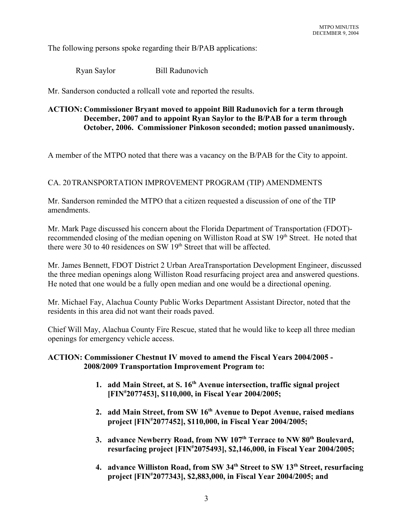The following persons spoke regarding their B/PAB applications:

Ryan Saylor Bill Radunovich

Mr. Sanderson conducted a rollcall vote and reported the results.

### **ACTION: Commissioner Bryant moved to appoint Bill Radunovich for a term through December, 2007 and to appoint Ryan Saylor to the B/PAB for a term through October, 2006. Commissioner Pinkoson seconded; motion passed unanimously.**

A member of the MTPO noted that there was a vacancy on the B/PAB for the City to appoint.

### CA. 20TRANSPORTATION IMPROVEMENT PROGRAM (TIP) AMENDMENTS

Mr. Sanderson reminded the MTPO that a citizen requested a discussion of one of the TIP amendments.

Mr. Mark Page discussed his concern about the Florida Department of Transportation (FDOT) recommended closing of the median opening on Williston Road at SW 19<sup>th</sup> Street. He noted that there were 30 to 40 residences on SW  $19<sup>th</sup>$  Street that will be affected.

Mr. James Bennett, FDOT District 2 Urban AreaTransportation Development Engineer, discussed the three median openings along Williston Road resurfacing project area and answered questions. He noted that one would be a fully open median and one would be a directional opening.

Mr. Michael Fay, Alachua County Public Works Department Assistant Director, noted that the residents in this area did not want their roads paved.

Chief Will May, Alachua County Fire Rescue, stated that he would like to keep all three median openings for emergency vehicle access.

#### **ACTION: Commissioner Chestnut IV moved to amend the Fiscal Years 2004/2005 - 2008/2009 Transportation Improvement Program to:**

- **1. add Main Street, at S. 16th Avenue intersection, traffic signal project [FIN# 2077453], \$110,000, in Fiscal Year 2004/2005;**
- **2. add Main Street, from SW 16th Avenue to Depot Avenue, raised medians project [FIN# 2077452], \$110,000, in Fiscal Year 2004/2005;**
- 3. advance Newberry Road, from NW 107<sup>th</sup> Terrace to NW 80<sup>th</sup> Boulevard, **resurfacing project [FIN# 2075493], \$2,146,000, in Fiscal Year 2004/2005;**
- **4. advance Williston Road, from SW 34th Street to SW 13th Street, resurfacing project [FIN# 2077343], \$2,883,000, in Fiscal Year 2004/2005; and**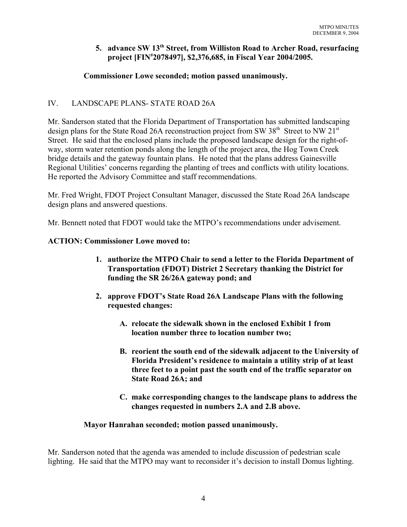### **5. advance SW 13th Street, from Williston Road to Archer Road, resurfacing project [FIN# 2078497], \$2,376,685, in Fiscal Year 2004/2005.**

# **Commissioner Lowe seconded; motion passed unanimously.**

## IV. LANDSCAPE PLANS- STATE ROAD 26A

Mr. Sanderson stated that the Florida Department of Transportation has submitted landscaping design plans for the State Road 26A reconstruction project from SW 38<sup>th</sup> Street to NW 21<sup>st</sup> Street. He said that the enclosed plans include the proposed landscape design for the right-ofway, storm water retention ponds along the length of the project area, the Hog Town Creek bridge details and the gateway fountain plans. He noted that the plans address Gainesville Regional Utilities' concerns regarding the planting of trees and conflicts with utility locations. He reported the Advisory Committee and staff recommendations.

Mr. Fred Wright, FDOT Project Consultant Manager, discussed the State Road 26A landscape design plans and answered questions.

Mr. Bennett noted that FDOT would take the MTPO's recommendations under advisement.

### **ACTION: Commissioner Lowe moved to:**

- **1. authorize the MTPO Chair to send a letter to the Florida Department of Transportation (FDOT) District 2 Secretary thanking the District for funding the SR 26/26A gateway pond; and**
- **2. approve FDOT's State Road 26A Landscape Plans with the following requested changes:**
	- **A. relocate the sidewalk shown in the enclosed Exhibit 1 from location number three to location number two;**
	- **B. reorient the south end of the sidewalk adjacent to the University of Florida President's residence to maintain a utility strip of at least three feet to a point past the south end of the traffic separator on State Road 26A; and**
	- **C. make corresponding changes to the landscape plans to address the changes requested in numbers 2.A and 2.B above.**

#### **Mayor Hanrahan seconded; motion passed unanimously.**

Mr. Sanderson noted that the agenda was amended to include discussion of pedestrian scale lighting. He said that the MTPO may want to reconsider it's decision to install Domus lighting.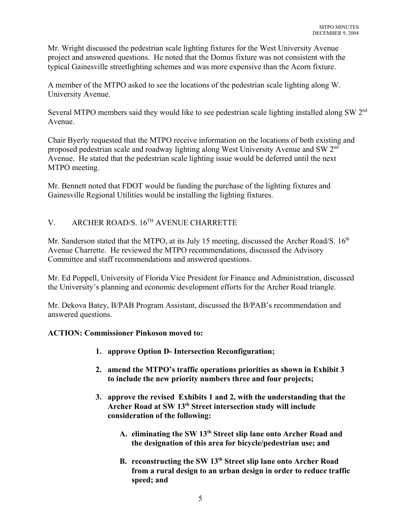Mr. Wright discussed the pedestrian scale lighting fixtures for the West University Avenue project and answered questions. He noted that the Domus fixture was not consistent with the typical Gainesville streetlighting schemes and was more expensive than the Acorn fixture.

A member of the MTPO asked to see the locations of the pedestrian scale lighting along W. University Avenue.

Several MTPO members said they would like to see pedestrian scale lighting installed along SW 2nd Avenue.

Chair Byerly requested that the MTPO receive information on the locations of both existing and proposed pedestrian scale and roadway lighting along West University Avenue and SW 2nd Avenue. He stated that the pedestrian scale lighting issue would be deferred until the next MTPO meeting.

Mr. Bennett noted that FDOT would be funding the purchase of the lighting fixtures and Gainesville Regional Utilities would be installing the lighting fixtures.

# V. ARCHER ROAD/S. 16TH AVENUE CHARRETTE

Mr. Sanderson stated that the MTPO, at its July 15 meeting, discussed the Archer Road/S.  $16<sup>th</sup>$ Avenue Charrette. He reviewed the MTPO recommendations, discussed the Advisory Committee and staff recommendations and answered questions.

Mr. Ed Poppell, University of Florida Vice President for Finance and Administration, discussed the University's planning and economic development efforts for the Archer Road triangle.

Mr. Dekova Batey, B/PAB Program Assistant, discussed the B/PAB's recommendation and answered questions.

### **ACTION: Commissioner Pinkoson moved to:**

- **1. approve Option D- Intersection Reconfiguration;**
- **2. amend the MTPO's traffic operations priorities as shown in Exhibit 3 to include the new priority numbers three and four projects;**
- **3. approve the revised Exhibits 1 and 2, with the understanding that the Archer Road at SW 13th Street intersection study will include consideration of the following:**
	- **A. eliminating the SW 13th Street slip lane onto Archer Road and the designation of this area for bicycle/pedestrian use; and**
	- **B. reconstructing the SW 13th Street slip lane onto Archer Road from a rural design to an urban design in order to reduce traffic speed; and**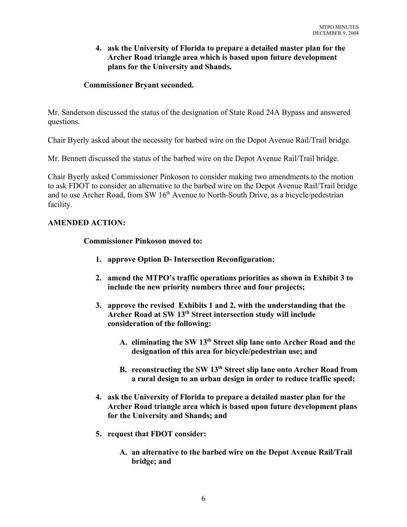#### **4. ask the University of Florida to prepare a detailed master plan for the Archer Road triangle area which is based upon future development plans for the University and Shands.**

#### **Commissioner Bryant seconded.**

Mr. Sanderson discussed the status of the designation of State Road 24A Bypass and answered questions.

Chair Byerly asked about the necessity for barbed wire on the Depot Avenue Rail/Trail bridge.

Mr. Bennett discussed the status of the barbed wire on the Depot Avenue Rail/Trail bridge.

Chair Byerly asked Commissioner Pinkoson to consider making two amendments to the motion to ask FDOT to consider an alternative to the barbed wire on the Depot Avenue Rail/Trail bridge and to use Archer Road, from SW  $16<sup>th</sup>$  Avenue to North-South Drive, as a bicycle/pedestrian facility.

#### **AMENDED ACTION:**

#### **Commissioner Pinkoson moved to:**

- **1. approve Option D- Intersection Reconfiguration;**
- **2. amend the MTPO's traffic operations priorities as shown in Exhibit 3 to include the new priority numbers three and four projects;**
- **3. approve the revised Exhibits 1 and 2, with the understanding that the Archer Road at SW 13th Street intersection study will include consideration of the following:**
	- **A. eliminating the SW 13th Street slip lane onto Archer Road and the designation of this area for bicycle/pedestrian use; and**
	- **B. reconstructing the SW 13th Street slip lane onto Archer Road from a rural design to an urban design in order to reduce traffic speed;**
- **4. ask the University of Florida to prepare a detailed master plan for the Archer Road triangle area which is based upon future development plans for the University and Shands; and**
- **5. request that FDOT consider:**
	- **A. an alternative to the barbed wire on the Depot Avenue Rail/Trail bridge; and**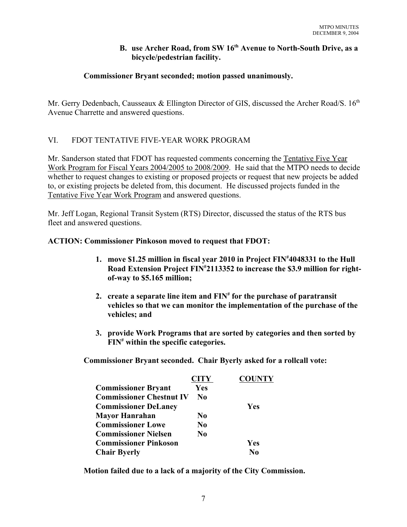#### **B.** use Archer Road, from SW 16<sup>th</sup> Avenue to North-South Drive, as a **bicycle/pedestrian facility.**

### **Commissioner Bryant seconded; motion passed unanimously.**

Mr. Gerry Dedenbach, Causseaux & Ellington Director of GIS, discussed the Archer Road/S, 16<sup>th</sup> Avenue Charrette and answered questions.

### VI. FDOT TENTATIVE FIVE-YEAR WORK PROGRAM

Mr. Sanderson stated that FDOT has requested comments concerning the Tentative Five Year Work Program for Fiscal Years 2004/2005 to 2008/2009. He said that the MTPO needs to decide whether to request changes to existing or proposed projects or request that new projects be added to, or existing projects be deleted from, this document. He discussed projects funded in the Tentative Five Year Work Program and answered questions.

Mr. Jeff Logan, Regional Transit System (RTS) Director, discussed the status of the RTS bus fleet and answered questions.

#### **ACTION: Commissioner Pinkoson moved to request that FDOT:**

- **1. move \$1.25 million in fiscal year 2010 in Project FIN# 4048331 to the Hull Road Extension Project FIN# 2113352 to increase the \$3.9 million for rightof-way to \$5.165 million;**
- **2. create a separate line item and FIN# for the purchase of paratransit vehicles so that we can monitor the implementation of the purchase of the vehicles; and**
- **3. provide Work Programs that are sorted by categories and then sorted by FIN# within the specific categories.**

**Commissioner Bryant seconded. Chair Byerly asked for a rollcall vote:**

|                                 | <b>CITY</b>    | <b>COUNTY</b> |
|---------------------------------|----------------|---------------|
| <b>Commissioner Bryant</b>      | Yes            |               |
| <b>Commissioner Chestnut IV</b> | No.            |               |
| <b>Commissioner DeLaney</b>     |                | Yes           |
| <b>Mayor Hanrahan</b>           | N <sub>0</sub> |               |
| <b>Commissioner Lowe</b>        | N <sub>0</sub> |               |
| <b>Commissioner Nielsen</b>     | $\bf No$       |               |
| <b>Commissioner Pinkoson</b>    |                | <b>Yes</b>    |
| <b>Chair Byerly</b>             |                | $\bf N_0$     |

**Motion failed due to a lack of a majority of the City Commission.**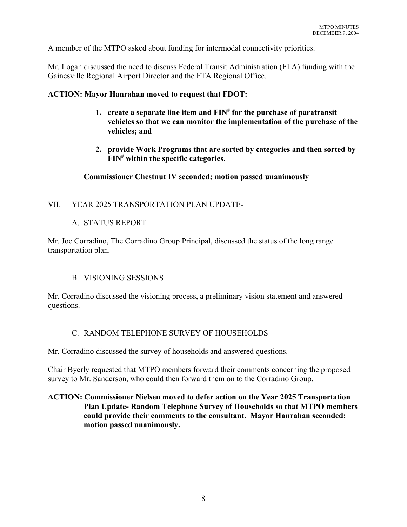A member of the MTPO asked about funding for intermodal connectivity priorities.

Mr. Logan discussed the need to discuss Federal Transit Administration (FTA) funding with the Gainesville Regional Airport Director and the FTA Regional Office.

#### **ACTION: Mayor Hanrahan moved to request that FDOT:**

- **1. create a separate line item and FIN# for the purchase of paratransit vehicles so that we can monitor the implementation of the purchase of the vehicles; and**
- **2. provide Work Programs that are sorted by categories and then sorted by FIN# within the specific categories.**

#### **Commissioner Chestnut IV seconded; motion passed unanimously**

### VII. YEAR 2025 TRANSPORTATION PLAN UPDATE-

### A. STATUS REPORT

Mr. Joe Corradino, The Corradino Group Principal, discussed the status of the long range transportation plan.

### B. VISIONING SESSIONS

Mr. Corradino discussed the visioning process, a preliminary vision statement and answered questions.

### C. RANDOM TELEPHONE SURVEY OF HOUSEHOLDS

Mr. Corradino discussed the survey of households and answered questions.

Chair Byerly requested that MTPO members forward their comments concerning the proposed survey to Mr. Sanderson, who could then forward them on to the Corradino Group.

#### **ACTION: Commissioner Nielsen moved to defer action on the Year 2025 Transportation Plan Update- Random Telephone Survey of Households so that MTPO members could provide their comments to the consultant. Mayor Hanrahan seconded; motion passed unanimously.**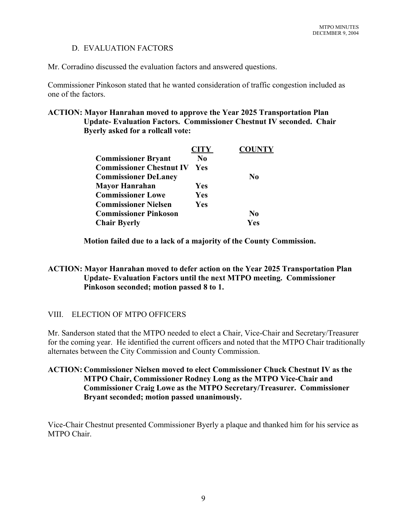### D. EVALUATION FACTORS

Mr. Corradino discussed the evaluation factors and answered questions.

Commissioner Pinkoson stated that he wanted consideration of traffic congestion included as one of the factors.

#### **ACTION: Mayor Hanrahan moved to approve the Year 2025 Transportation Plan Update- Evaluation Factors. Commissioner Chestnut IV seconded. Chair Byerly asked for a rollcall vote:**

|                                 | <b>CITY</b>    | <b>COUNTY</b>  |
|---------------------------------|----------------|----------------|
| <b>Commissioner Bryant</b>      | N <sub>0</sub> |                |
| <b>Commissioner Chestnut IV</b> | Yes            |                |
| <b>Commissioner DeLaney</b>     |                | N <sub>0</sub> |
| Mayor Hanrahan                  | Yes            |                |
| <b>Commissioner Lowe</b>        | Yes            |                |
| <b>Commissioner Nielsen</b>     | Yes            |                |
| <b>Commissioner Pinkoson</b>    |                | $\bf No$       |
| <b>Chair Byerly</b>             |                | <b>Yes</b>     |

**Motion failed due to a lack of a majority of the County Commission.**

#### **ACTION: Mayor Hanrahan moved to defer action on the Year 2025 Transportation Plan Update- Evaluation Factors until the next MTPO meeting. Commissioner Pinkoson seconded; motion passed 8 to 1.**

### VIII. ELECTION OF MTPO OFFICERS

Mr. Sanderson stated that the MTPO needed to elect a Chair, Vice-Chair and Secretary/Treasurer for the coming year. He identified the current officers and noted that the MTPO Chair traditionally alternates between the City Commission and County Commission.

#### **ACTION: Commissioner Nielsen moved to elect Commissioner Chuck Chestnut IV as the MTPO Chair, Commissioner Rodney Long as the MTPO Vice-Chair and Commissioner Craig Lowe as the MTPO Secretary/Treasurer. Commissioner Bryant seconded; motion passed unanimously.**

Vice-Chair Chestnut presented Commissioner Byerly a plaque and thanked him for his service as MTPO Chair.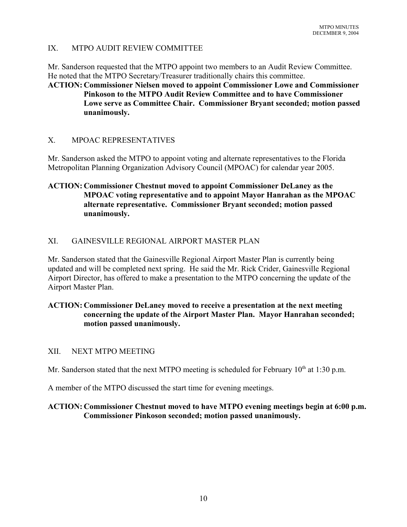#### IX. MTPO AUDIT REVIEW COMMITTEE

Mr. Sanderson requested that the MTPO appoint two members to an Audit Review Committee. He noted that the MTPO Secretary/Treasurer traditionally chairs this committee.

**ACTION: Commissioner Nielsen moved to appoint Commissioner Lowe and Commissioner Pinkoson to the MTPO Audit Review Committee and to have Commissioner Lowe serve as Committee Chair. Commissioner Bryant seconded; motion passed unanimously.**

#### X. MPOAC REPRESENTATIVES

Mr. Sanderson asked the MTPO to appoint voting and alternate representatives to the Florida Metropolitan Planning Organization Advisory Council (MPOAC) for calendar year 2005.

#### **ACTION: Commissioner Chestnut moved to appoint Commissioner DeLaney as the MPOAC voting representative and to appoint Mayor Hanrahan as the MPOAC alternate representative. Commissioner Bryant seconded; motion passed unanimously.**

#### XI. GAINESVILLE REGIONAL AIRPORT MASTER PLAN

Mr. Sanderson stated that the Gainesville Regional Airport Master Plan is currently being updated and will be completed next spring. He said the Mr. Rick Crider, Gainesville Regional Airport Director, has offered to make a presentation to the MTPO concerning the update of the Airport Master Plan.

#### **ACTION: Commissioner DeLaney moved to receive a presentation at the next meeting concerning the update of the Airport Master Plan. Mayor Hanrahan seconded; motion passed unanimously.**

#### XII. NEXT MTPO MEETING

Mr. Sanderson stated that the next MTPO meeting is scheduled for February  $10<sup>th</sup>$  at 1:30 p.m.

A member of the MTPO discussed the start time for evening meetings.

#### **ACTION: Commissioner Chestnut moved to have MTPO evening meetings begin at 6:00 p.m. Commissioner Pinkoson seconded; motion passed unanimously.**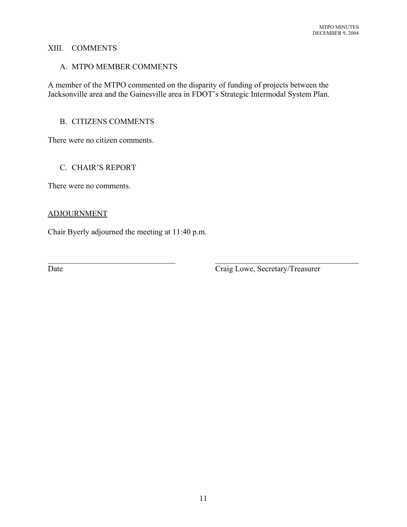#### XIII. COMMENTS

#### A. MTPO MEMBER COMMENTS

A member of the MTPO commented on the disparity of funding of projects between the Jacksonville area and the Gainesville area in FDOT's Strategic Intermodal System Plan.

 $\mathcal{L}_\text{max}$  , and the contribution of the contribution of the contribution of the contribution of the contribution of the contribution of the contribution of the contribution of the contribution of the contribution of t

#### B. CITIZENS COMMENTS

There were no citizen comments.

#### C. CHAIR'S REPORT

There were no comments.

#### ADJOURNMENT

Chair Byerly adjourned the meeting at 11:40 p.m.

Date Craig Lowe, Secretary/Treasurer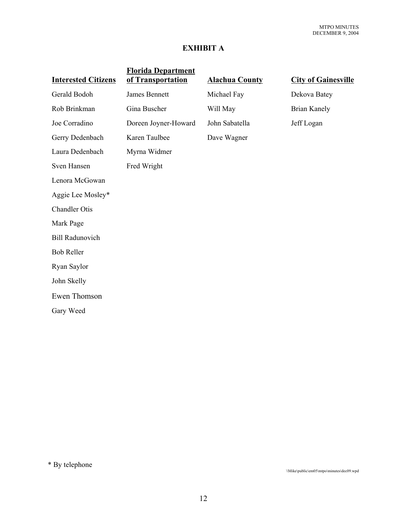# **EXHIBIT A**

| <b>Interested Citizens</b> | <b>Florida Department</b><br>of Transportation | <b>Alachua County</b> | <b>City of Gainesville</b> |
|----------------------------|------------------------------------------------|-----------------------|----------------------------|
| Gerald Bodoh               | <b>James Bennett</b>                           | Michael Fay           | Dekova Batey               |
| Rob Brinkman               | Gina Buscher                                   | Will May              | <b>Brian Kanely</b>        |
| Joe Corradino              | Doreen Joyner-Howard                           | John Sabatella        | Jeff Logan                 |
| Gerry Dedenbach            | Karen Taulbee                                  | Dave Wagner           |                            |
| Laura Dedenbach            | Myrna Widmer                                   |                       |                            |
| Sven Hansen                | Fred Wright                                    |                       |                            |
| Lenora McGowan             |                                                |                       |                            |
| Aggie Lee Mosley*          |                                                |                       |                            |
| <b>Chandler Otis</b>       |                                                |                       |                            |
| Mark Page                  |                                                |                       |                            |
| <b>Bill Radunovich</b>     |                                                |                       |                            |
| <b>Bob Reller</b>          |                                                |                       |                            |
| Ryan Saylor                |                                                |                       |                            |
| John Skelly                |                                                |                       |                            |
| Ewen Thomson               |                                                |                       |                            |
| Gary Weed                  |                                                |                       |                            |

\* By telephone

\\Mike\public\em05\mtpo\minutes\dec09.wpd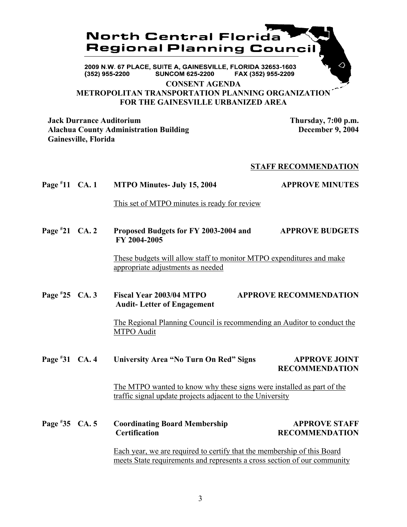

FAX (352) 955-2209 (352) 955-2200 **SUNCOM 625-2200** 

**CONSENT AGENDA**

**METROPOLITAN TRANSPORTATION PLANNING ORGANIZATION FOR THE GAINESVILLE URBANIZED AREA**

**Jack Durrance Auditorium Thursday, 7:00 p.m. Alachua County Administration Building December 9, 2004 Gainesville, Florida**

#### **STAFF RECOMMENDATION**

**Page # 11 MTPO Minutes- July 15, 2004 APPROVE MINUTES** 

This set of MTPO minutes is ready for review

**Page # 21 CA. 2 Proposed Budgets for FY 2003-2004 and APPROVE BUDGETS FY 2004-2005**

> These budgets will allow staff to monitor MTPO expenditures and make appropriate adjustments as needed

**Page # 25 CA. 3 Fiscal Year 2003/04 MTPO APPROVE RECOMMENDATION Audit- Letter of Engagement**

> The Regional Planning Council is recommending an Auditor to conduct the MTPO Audit

**Page # 31 University Area "No Turn On Red" Signs APPROVE JOINT RECOMMENDATION**

> The MTPO wanted to know why these signs were installed as part of the traffic signal update projects adjacent to the University

**Page # 35 Coordinating Board Membership APPROVE STAFF Certification RECOMMENDATION**

> Each year, we are required to certify that the membership of this Board meets State requirements and represents a cross section of our community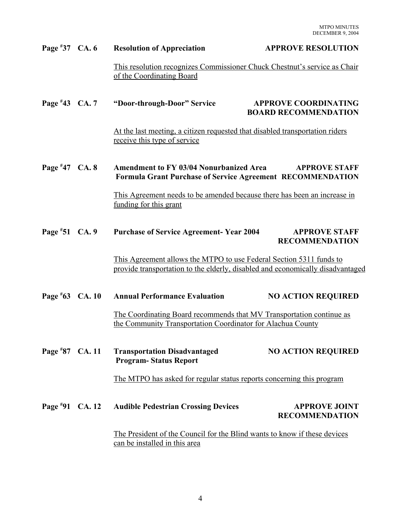| Page $*37$ CA. 6  | <b>Resolution of Appreciation</b>                                                                                                                     | <b>APPROVE RESOLUTION</b>                                  |
|-------------------|-------------------------------------------------------------------------------------------------------------------------------------------------------|------------------------------------------------------------|
|                   | This resolution recognizes Commissioner Chuck Chestnut's service as Chair<br>of the Coordinating Board                                                |                                                            |
| Page $*43$ CA. 7  | "Door-through-Door" Service                                                                                                                           | <b>APPROVE COORDINATING</b><br><b>BOARD RECOMMENDATION</b> |
|                   | At the last meeting, a citizen requested that disabled transportation riders<br>receive this type of service                                          |                                                            |
| Page #47 CA. 8    | <b>Amendment to FY 03/04 Nonurbanized Area</b><br><b>APPROVE STAFF</b><br><b>Formula Grant Purchase of Service Agreement RECOMMENDATION</b>           |                                                            |
|                   | This Agreement needs to be amended because there has been an increase in<br>funding for this grant                                                    |                                                            |
| Page #51 CA. 9    | <b>Purchase of Service Agreement- Year 2004</b>                                                                                                       | <b>APPROVE STAFF</b><br><b>RECOMMENDATION</b>              |
|                   | This Agreement allows the MTPO to use Federal Section 5311 funds to<br>provide transportation to the elderly, disabled and economically disadvantaged |                                                            |
| Page $*63$ CA. 10 | <b>Annual Performance Evaluation</b>                                                                                                                  | <b>NO ACTION REQUIRED</b>                                  |
|                   | The Coordinating Board recommends that MV Transportation continue as<br>the Community Transportation Coordinator for Alachua County                   |                                                            |
| Page $*87$ CA. 11 | <b>Transportation Disadvantaged</b><br><b>Program-Status Report</b>                                                                                   | <b>NO ACTION REQUIRED</b>                                  |
|                   | The MTPO has asked for regular status reports concerning this program                                                                                 |                                                            |
| Page #91 CA. 12   | <b>Audible Pedestrian Crossing Devices</b>                                                                                                            | <b>APPROVE JOINT</b><br><b>RECOMMENDATION</b>              |
|                   | The President of the Council for the Blind wants to know if these devices<br>can be installed in this area                                            |                                                            |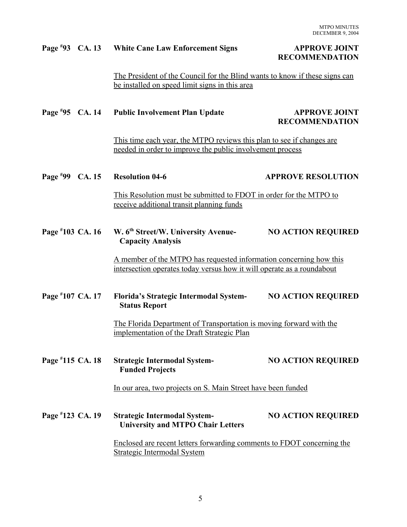#### Page #93 CA. 13 White Cane Law Enforcement Signs **APPROVE JOINT**

# **RECOMMENDATION**

The President of the Council for the Blind wants to know if these signs can be installed on speed limit signs in this area

|                   | Page #95 CA. 14 Public Involvement Plan Update                                                                                               | <b>APPROVE JOINT</b><br><b>RECOMMENDATION</b> |
|-------------------|----------------------------------------------------------------------------------------------------------------------------------------------|-----------------------------------------------|
|                   | This time each year, the MTPO reviews this plan to see if changes are<br>needed in order to improve the public involvement process           |                                               |
| Page $*99$ CA. 15 | <b>Resolution 04-6</b>                                                                                                                       | <b>APPROVE RESOLUTION</b>                     |
|                   | This Resolution must be submitted to FDOT in order for the MTPO to<br>receive additional transit planning funds                              |                                               |
| Page #103 CA. 16  | W. 6 <sup>th</sup> Street/W. University Avenue-<br><b>Capacity Analysis</b>                                                                  | <b>NO ACTION REQUIRED</b>                     |
|                   | A member of the MTPO has requested information concerning how this<br>intersection operates today versus how it will operate as a roundabout |                                               |
| Page #107 CA. 17  | Florida's Strategic Intermodal System-<br><b>Status Report</b>                                                                               | <b>NO ACTION REQUIRED</b>                     |
|                   | The Florida Department of Transportation is moving forward with the<br>implementation of the Draft Strategic Plan                            |                                               |
| Page #115 CA. 18  | <b>Strategic Intermodal System-</b><br><b>Funded Projects</b>                                                                                | <b>NO ACTION REQUIRED</b>                     |
|                   | In our area, two projects on S. Main Street have been funded                                                                                 |                                               |
| Page #123 CA. 19  | <b>Strategic Intermodal System-</b><br><b>University and MTPO Chair Letters</b>                                                              | <b>NO ACTION REQUIRED</b>                     |
|                   | Enclosed are recent letters forwarding comments to FDOT concerning the<br><b>Strategic Intermodal System</b>                                 |                                               |